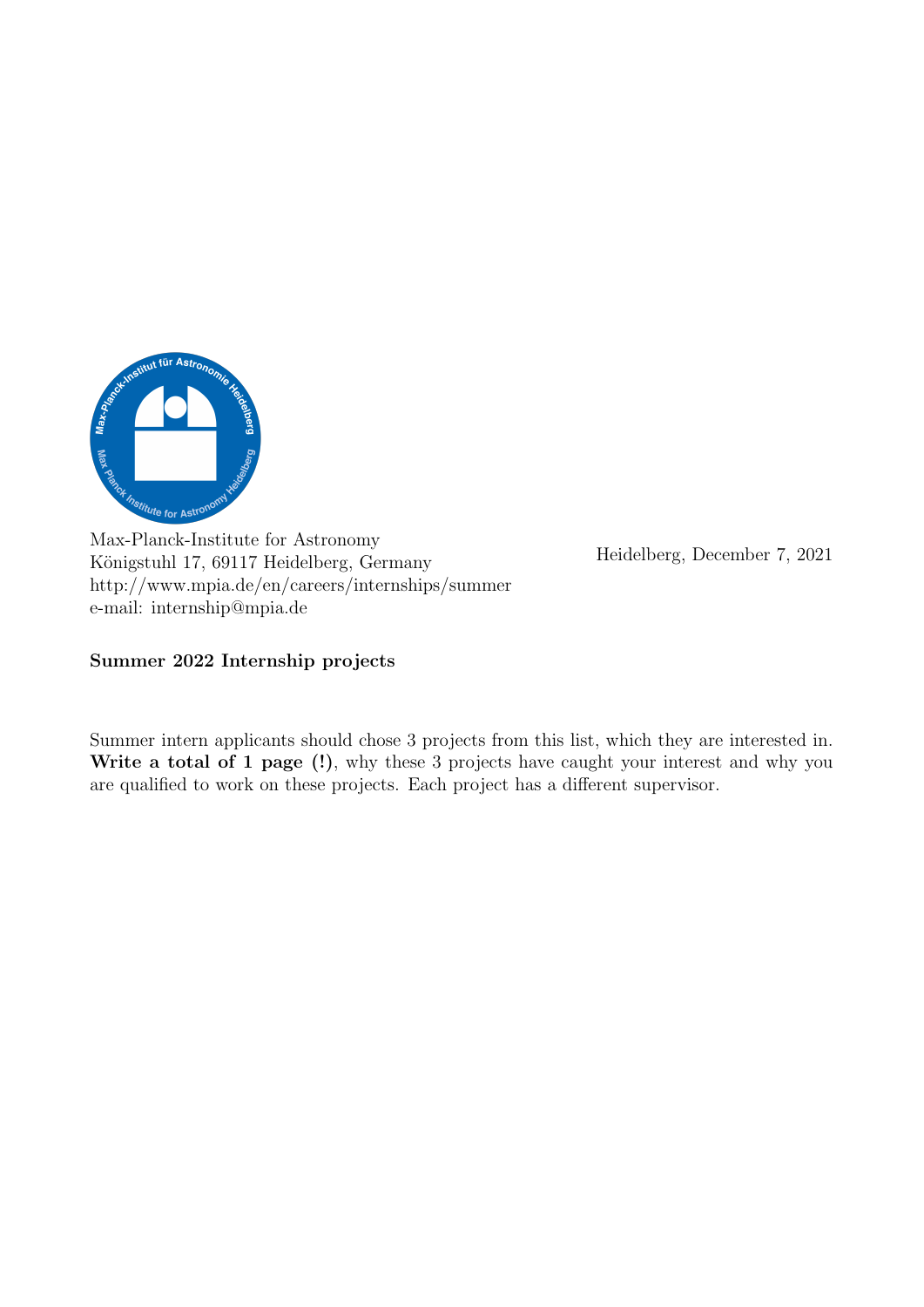

Max-Planck-Institute for Astronomy Königstuhl 17, 69117 Heidelberg, Germany http://www.mpia.de/en/careers/internships/summer e-mail: internship@mpia.de

Heidelberg, December 7, 2021

Summer 2022 Internship projects

Summer intern applicants should chose 3 projects from this list, which they are interested in. Write a total of 1 page (!), why these 3 projects have caught your interest and why you are qualified to work on these projects. Each project has a different supervisor.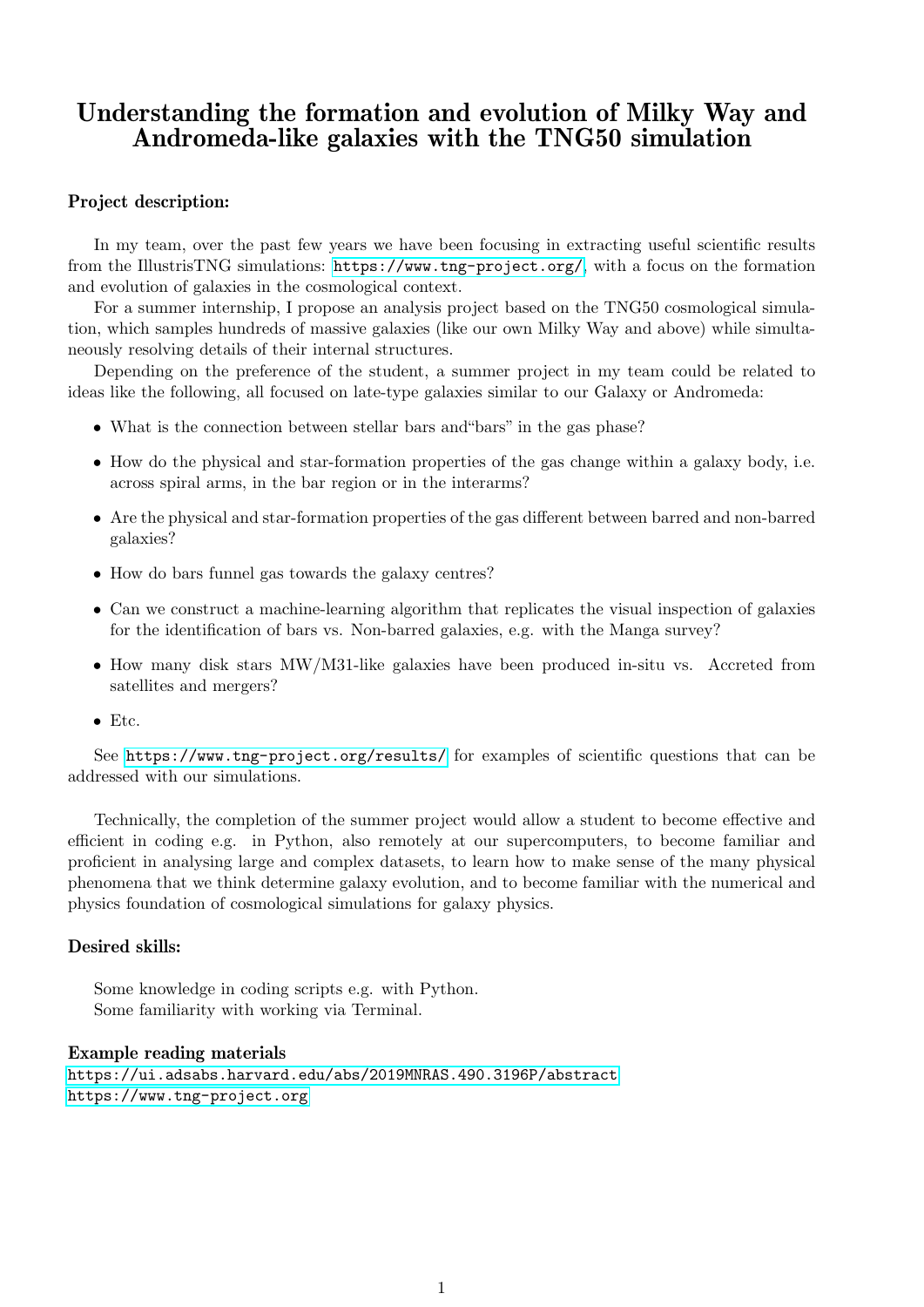## Understanding the formation and evolution of Milky Way and Andromeda-like galaxies with the TNG50 simulation

## Project description:

In my team, over the past few years we have been focusing in extracting useful scientific results from the IllustrisTNG simulations: <https://www.tng-project.org/>, with a focus on the formation and evolution of galaxies in the cosmological context.

For a summer internship, I propose an analysis project based on the TNG50 cosmological simulation, which samples hundreds of massive galaxies (like our own Milky Way and above) while simultaneously resolving details of their internal structures.

Depending on the preference of the student, a summer project in my team could be related to ideas like the following, all focused on late-type galaxies similar to our Galaxy or Andromeda:

- What is the connection between stellar bars and "bars" in the gas phase?
- How do the physical and star-formation properties of the gas change within a galaxy body, i.e. across spiral arms, in the bar region or in the interarms?
- Are the physical and star-formation properties of the gas different between barred and non-barred galaxies?
- How do bars funnel gas towards the galaxy centres?
- Can we construct a machine-learning algorithm that replicates the visual inspection of galaxies for the identification of bars vs. Non-barred galaxies, e.g. with the Manga survey?
- How many disk stars MW/M31-like galaxies have been produced in-situ vs. Accreted from satellites and mergers?
- Etc.

See <https://www.tng-project.org/results/> for examples of scientific questions that can be addressed with our simulations.

Technically, the completion of the summer project would allow a student to become effective and efficient in coding e.g. in Python, also remotely at our supercomputers, to become familiar and proficient in analysing large and complex datasets, to learn how to make sense of the many physical phenomena that we think determine galaxy evolution, and to become familiar with the numerical and physics foundation of cosmological simulations for galaxy physics.

### Desired skills:

Some knowledge in coding scripts e.g. with Python. Some familiarity with working via Terminal.

#### Example reading materials

<https://ui.adsabs.harvard.edu/abs/2019MNRAS.490.3196P/abstract> <https://www.tng-project.org>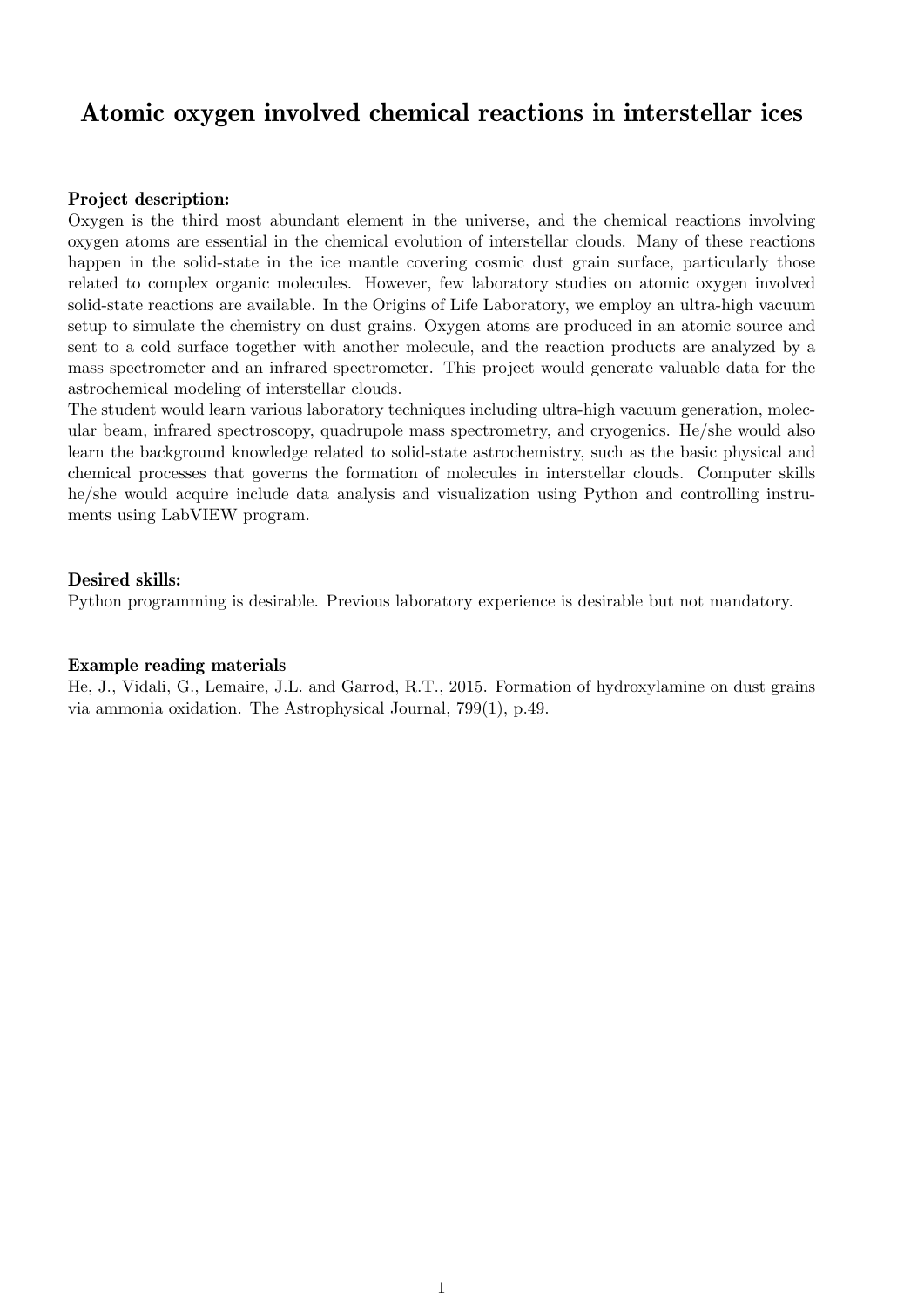## Atomic oxygen involved chemical reactions in interstellar ices

#### Project description:

Oxygen is the third most abundant element in the universe, and the chemical reactions involving oxygen atoms are essential in the chemical evolution of interstellar clouds. Many of these reactions happen in the solid-state in the ice mantle covering cosmic dust grain surface, particularly those related to complex organic molecules. However, few laboratory studies on atomic oxygen involved solid-state reactions are available. In the Origins of Life Laboratory, we employ an ultra-high vacuum setup to simulate the chemistry on dust grains. Oxygen atoms are produced in an atomic source and sent to a cold surface together with another molecule, and the reaction products are analyzed by a mass spectrometer and an infrared spectrometer. This project would generate valuable data for the astrochemical modeling of interstellar clouds.

The student would learn various laboratory techniques including ultra-high vacuum generation, molecular beam, infrared spectroscopy, quadrupole mass spectrometry, and cryogenics. He/she would also learn the background knowledge related to solid-state astrochemistry, such as the basic physical and chemical processes that governs the formation of molecules in interstellar clouds. Computer skills he/she would acquire include data analysis and visualization using Python and controlling instruments using LabVIEW program.

#### Desired skills:

Python programming is desirable. Previous laboratory experience is desirable but not mandatory.

### Example reading materials

He, J., Vidali, G., Lemaire, J.L. and Garrod, R.T., 2015. Formation of hydroxylamine on dust grains via ammonia oxidation. The Astrophysical Journal, 799(1), p.49.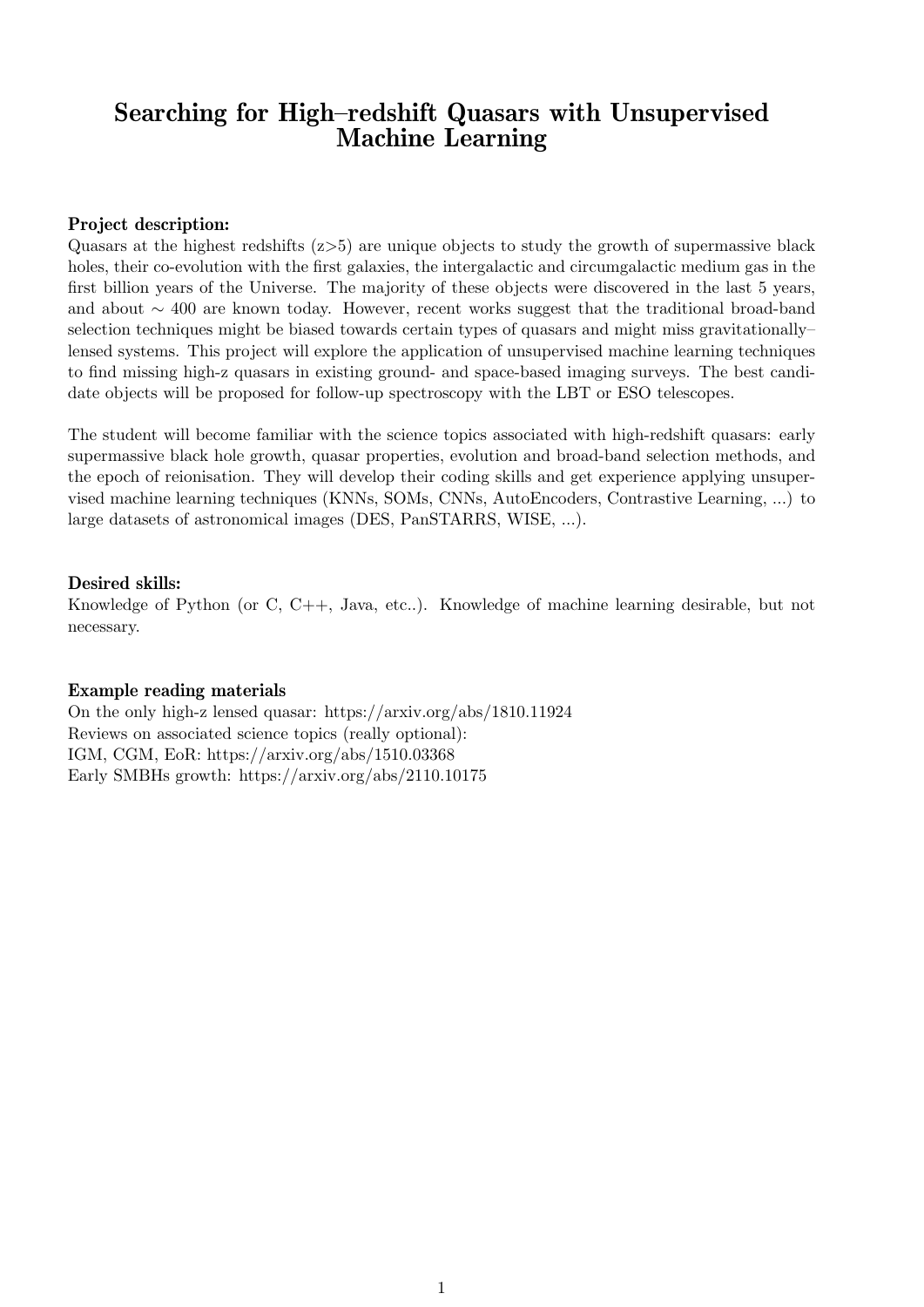## Searching for High–redshift Quasars with Unsupervised Machine Learning

## Project description:

Quasars at the highest redshifts  $(z>5)$  are unique objects to study the growth of supermassive black holes, their co-evolution with the first galaxies, the intergalactic and circumgalactic medium gas in the first billion years of the Universe. The majority of these objects were discovered in the last 5 years, and about ∼ 400 are known today. However, recent works suggest that the traditional broad-band selection techniques might be biased towards certain types of quasars and might miss gravitationally– lensed systems. This project will explore the application of unsupervised machine learning techniques to find missing high-z quasars in existing ground- and space-based imaging surveys. The best candidate objects will be proposed for follow-up spectroscopy with the LBT or ESO telescopes.

The student will become familiar with the science topics associated with high-redshift quasars: early supermassive black hole growth, quasar properties, evolution and broad-band selection methods, and the epoch of reionisation. They will develop their coding skills and get experience applying unsupervised machine learning techniques (KNNs, SOMs, CNNs, AutoEncoders, Contrastive Learning, ...) to large datasets of astronomical images (DES, PanSTARRS, WISE, ...).

## Desired skills:

Knowledge of Python (or C, C++, Java, etc..). Knowledge of machine learning desirable, but not necessary.

## Example reading materials

On the only high-z lensed quasar: https://arxiv.org/abs/1810.11924 Reviews on associated science topics (really optional): IGM, CGM, EoR: https://arxiv.org/abs/1510.03368 Early SMBHs growth: https://arxiv.org/abs/2110.10175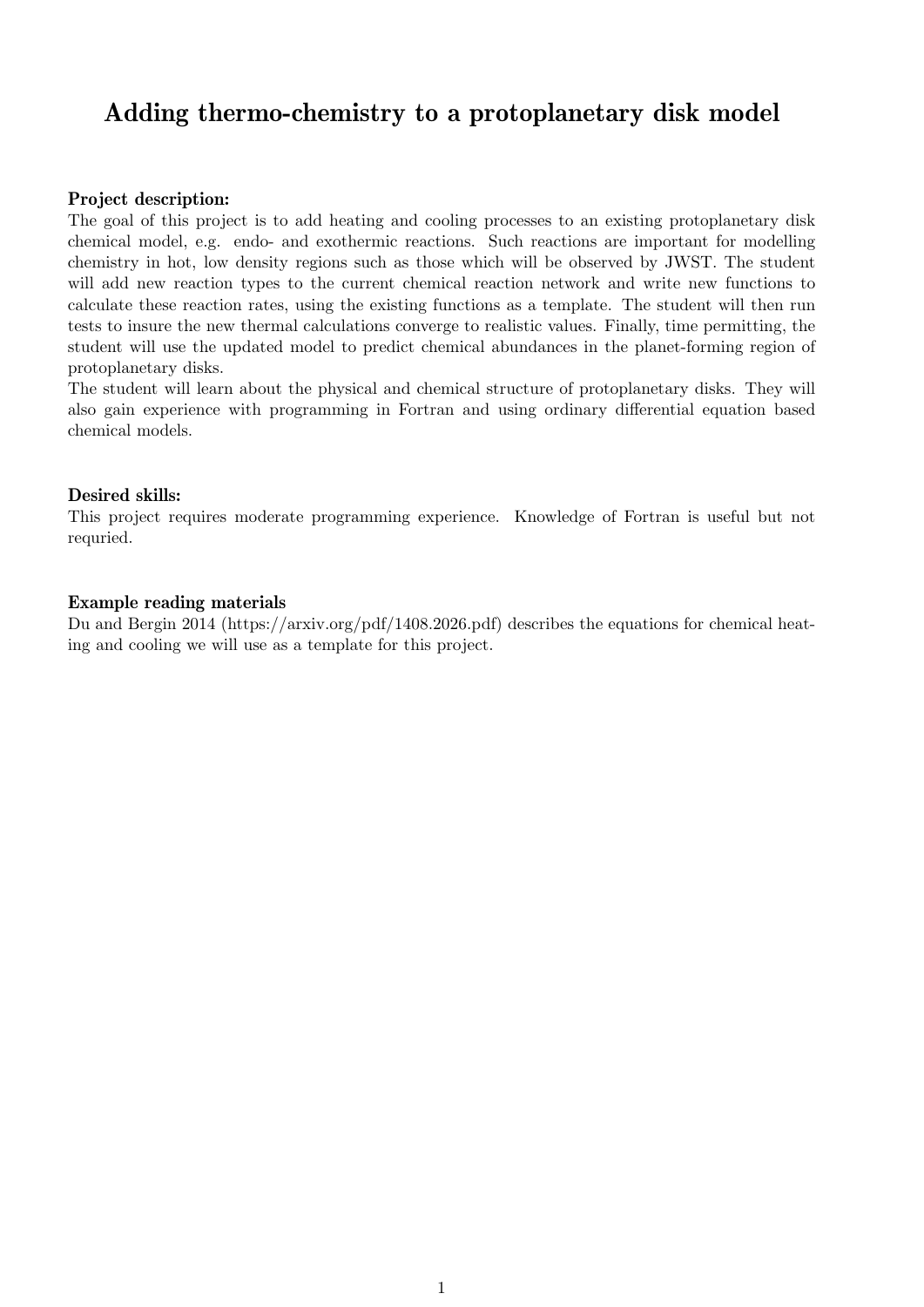# Adding thermo-chemistry to a protoplanetary disk model

## Project description:

The goal of this project is to add heating and cooling processes to an existing protoplanetary disk chemical model, e.g. endo- and exothermic reactions. Such reactions are important for modelling chemistry in hot, low density regions such as those which will be observed by JWST. The student will add new reaction types to the current chemical reaction network and write new functions to calculate these reaction rates, using the existing functions as a template. The student will then run tests to insure the new thermal calculations converge to realistic values. Finally, time permitting, the student will use the updated model to predict chemical abundances in the planet-forming region of protoplanetary disks.

The student will learn about the physical and chemical structure of protoplanetary disks. They will also gain experience with programming in Fortran and using ordinary differential equation based chemical models.

## Desired skills:

This project requires moderate programming experience. Knowledge of Fortran is useful but not requried.

## Example reading materials

Du and Bergin 2014 (https://arxiv.org/pdf/1408.2026.pdf) describes the equations for chemical heating and cooling we will use as a template for this project.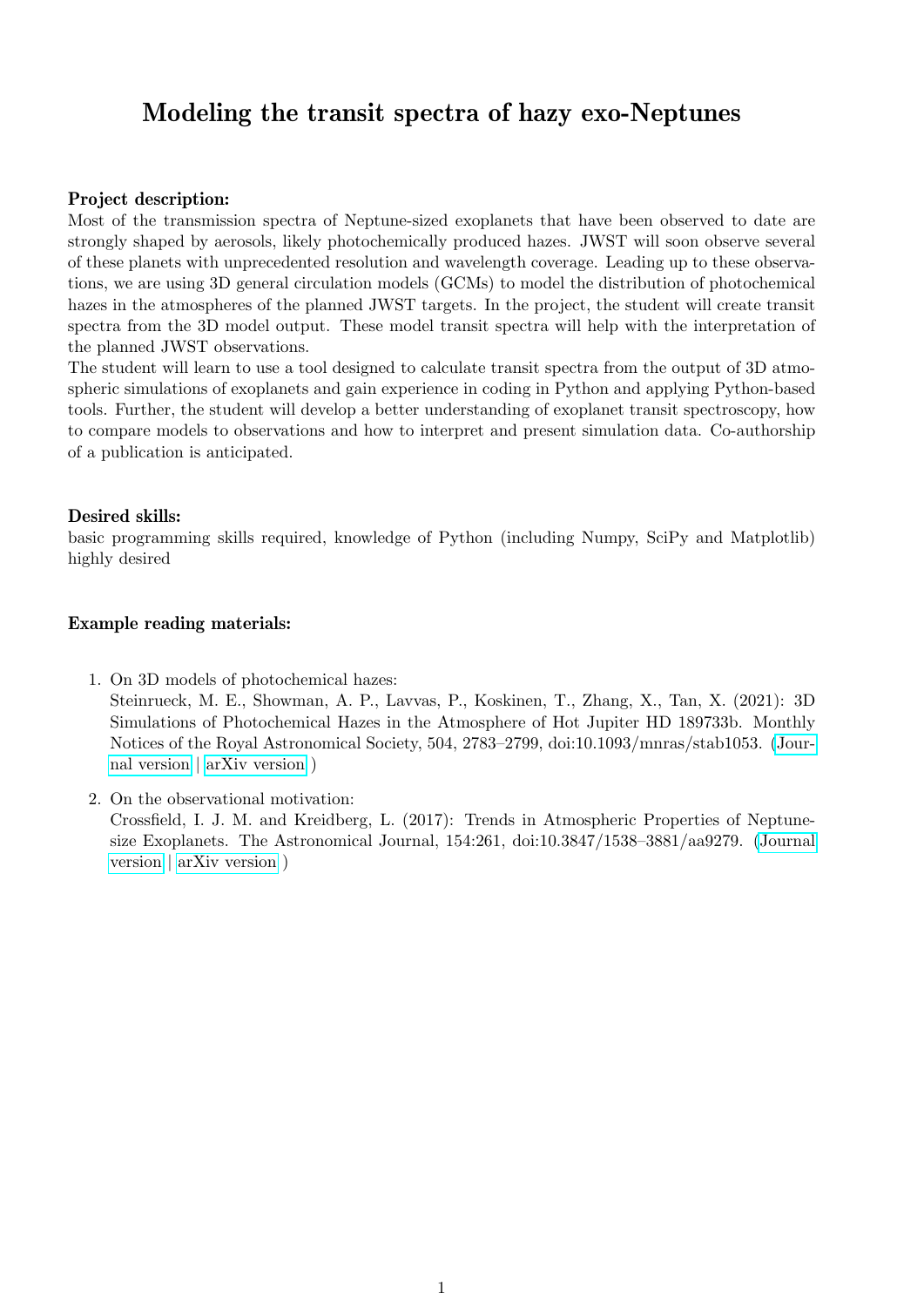## Modeling the transit spectra of hazy exo-Neptunes

### Project description:

Most of the transmission spectra of Neptune-sized exoplanets that have been observed to date are strongly shaped by aerosols, likely photochemically produced hazes. JWST will soon observe several of these planets with unprecedented resolution and wavelength coverage. Leading up to these observations, we are using 3D general circulation models (GCMs) to model the distribution of photochemical hazes in the atmospheres of the planned JWST targets. In the project, the student will create transit spectra from the 3D model output. These model transit spectra will help with the interpretation of the planned JWST observations.

The student will learn to use a tool designed to calculate transit spectra from the output of 3D atmospheric simulations of exoplanets and gain experience in coding in Python and applying Python-based tools. Further, the student will develop a better understanding of exoplanet transit spectroscopy, how to compare models to observations and how to interpret and present simulation data. Co-authorship of a publication is anticipated.

### Desired skills:

basic programming skills required, knowledge of Python (including Numpy, SciPy and Matplotlib) highly desired

## Example reading materials:

- 1. On 3D models of photochemical hazes: Steinrueck, M. E., Showman, A. P., Lavvas, P., Koskinen, T., Zhang, X., Tan, X. (2021): 3D Simulations of Photochemical Hazes in the Atmosphere of Hot Jupiter HD 189733b. Monthly Notices of the Royal Astronomical Society, 504, 2783–2799, doi:10.1093/mnras/stab1053. [\(Jour](https://academic.oup.com/mnras/article-abstract/504/2/2783/6232173)[nal version](https://academic.oup.com/mnras/article-abstract/504/2/2783/6232173) | [arXiv version](https://arxiv.org/pdf/2011.14022.pdf) )
- 2. On the observational motivation: Crossfield, I. J. M. and Kreidberg, L. (2017): Trends in Atmospheric Properties of Neptunesize Exoplanets. The Astronomical Journal, 154:261, doi:10.3847/1538–3881/aa9279. [\(Journal](https://iopscience.iop.org/article/10.3847/1538-3881/aa9279/pdf) [version](https://iopscience.iop.org/article/10.3847/1538-3881/aa9279/pdf) | [arXiv version](https://arxiv.org/pdf/1708.00016.pdf) )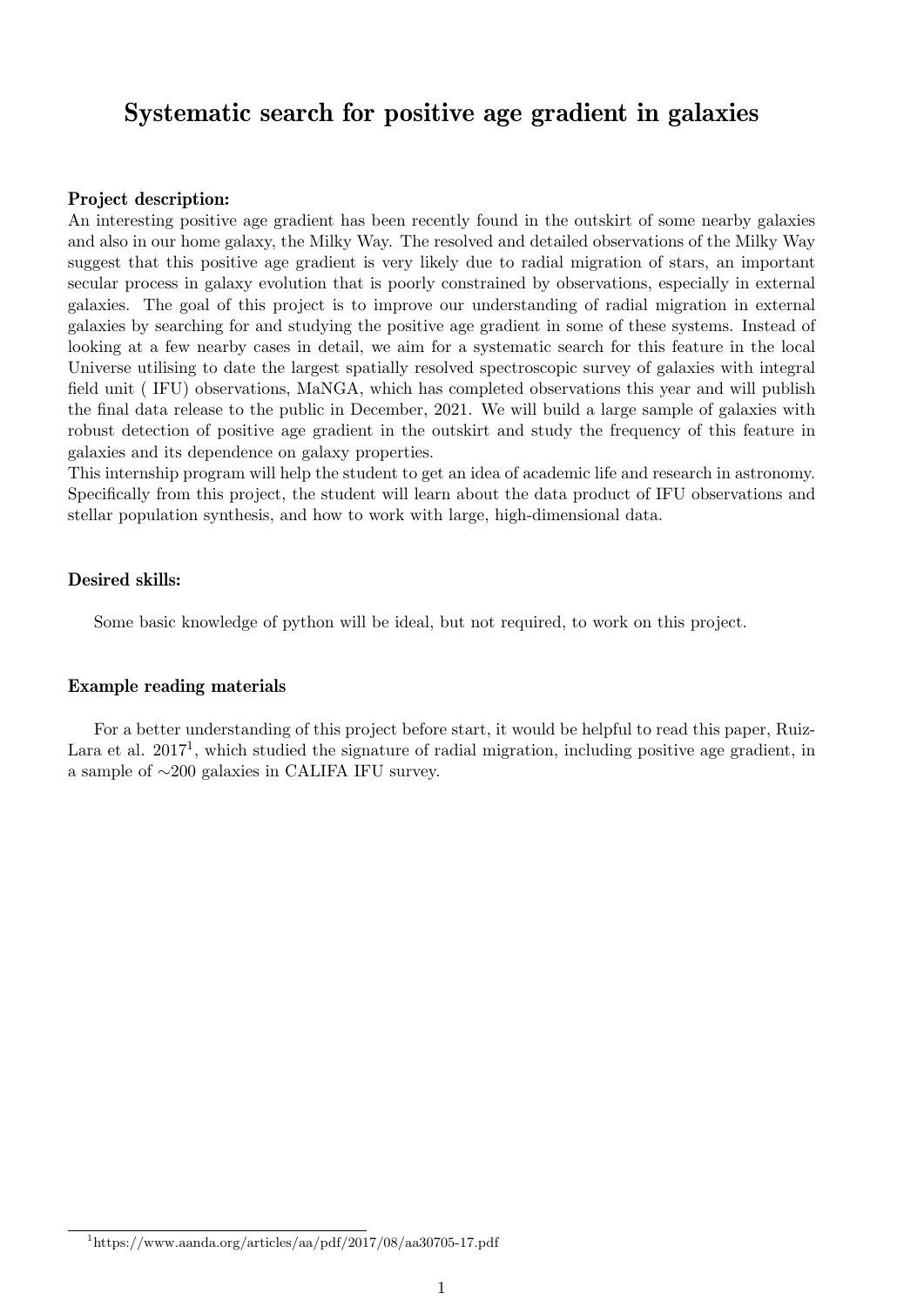## Systematic search for positive age gradient in galaxies

#### Project description:

An interesting positive age gradient has been recently found in the outskirt of some nearby galaxies and also in our home galaxy, the Milky Way. The resolved and detailed observations of the Milky Way suggest that this positive age gradient is very likely due to radial migration of stars, an important secular process in galaxy evolution that is poorly constrained by observations, especially in external galaxies. The goal of this project is to improve our understanding of radial migration in external galaxies by searching for and studying the positive age gradient in some of these systems. Instead of looking at a few nearby cases in detail, we aim for a systematic search for this feature in the local Universe utilising to date the largest spatially resolved spectroscopic survey of galaxies with integral field unit ( IFU) observations, MaNGA, which has completed observations this year and will publish the final data release to the public in December, 2021. We will build a large sample of galaxies with robust detection of positive age gradient in the outskirt and study the frequency of this feature in galaxies and its dependence on galaxy properties.

This internship program will help the student to get an idea of academic life and research in astronomy. Specifically from this project, the student will learn about the data product of IFU observations and stellar population synthesis, and how to work with large, high-dimensional data.

#### Desired skills:

Some basic knowledge of python will be ideal, but not required, to work on this project.

#### Example reading materials

For a better understanding of this project before start, it would be helpful to read this paper, Ruiz-Lara et al.  $2017<sup>1</sup>$ , which studied the signature of radial migration, including positive age gradient, in a sample of ∼200 galaxies in CALIFA IFU survey.

 $1<sup>1</sup>$ https://www.aanda.org/articles/aa/pdf/2017/08/aa30705-17.pdf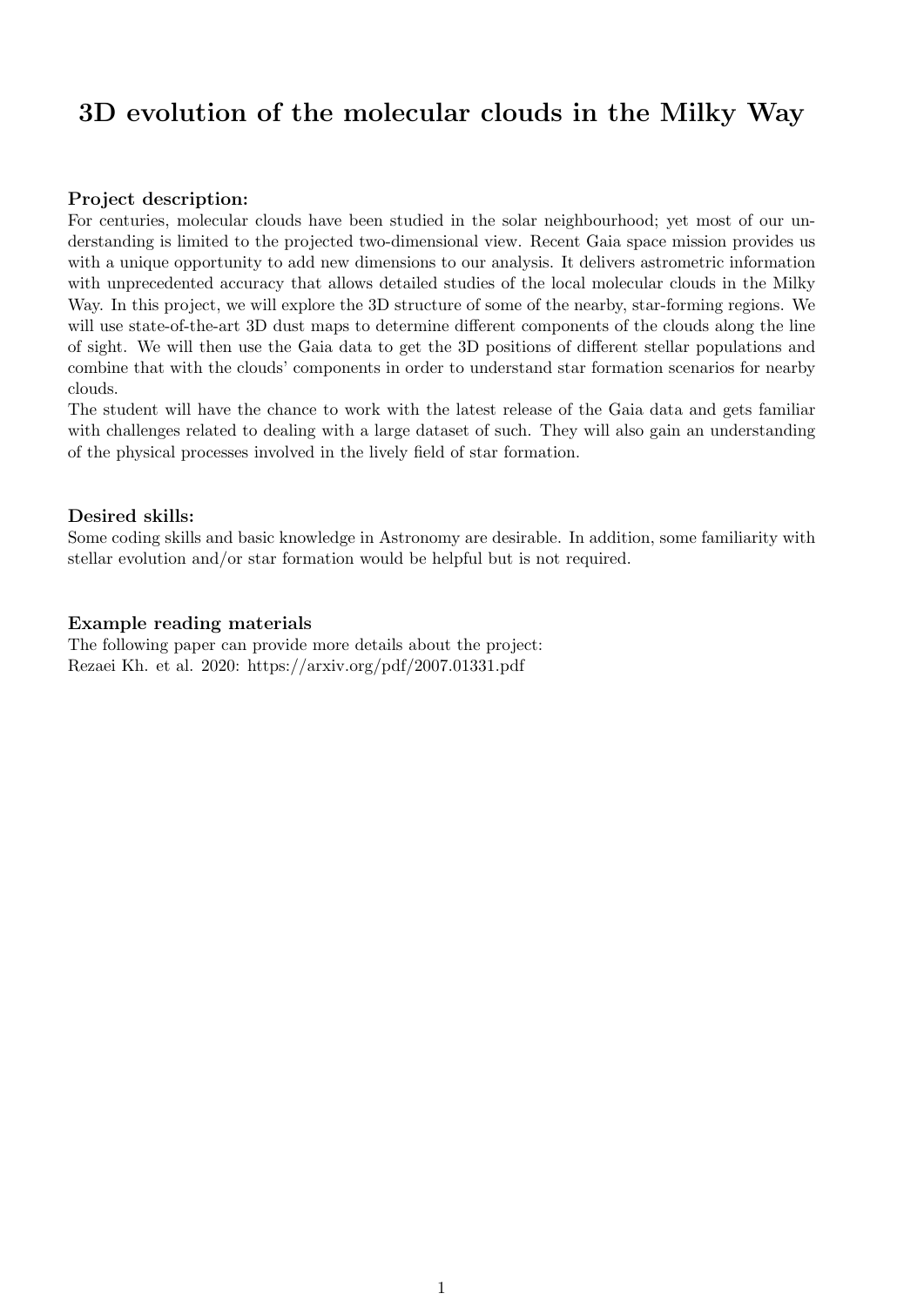# 3D evolution of the molecular clouds in the Milky Way

### Project description:

For centuries, molecular clouds have been studied in the solar neighbourhood; yet most of our understanding is limited to the projected two-dimensional view. Recent Gaia space mission provides us with a unique opportunity to add new dimensions to our analysis. It delivers astrometric information with unprecedented accuracy that allows detailed studies of the local molecular clouds in the Milky Way. In this project, we will explore the 3D structure of some of the nearby, star-forming regions. We will use state-of-the-art 3D dust maps to determine different components of the clouds along the line of sight. We will then use the Gaia data to get the 3D positions of different stellar populations and combine that with the clouds' components in order to understand star formation scenarios for nearby clouds.

The student will have the chance to work with the latest release of the Gaia data and gets familiar with challenges related to dealing with a large dataset of such. They will also gain an understanding of the physical processes involved in the lively field of star formation.

### Desired skills:

Some coding skills and basic knowledge in Astronomy are desirable. In addition, some familiarity with stellar evolution and/or star formation would be helpful but is not required.

## Example reading materials

The following paper can provide more details about the project: Rezaei Kh. et al. 2020: https://arxiv.org/pdf/2007.01331.pdf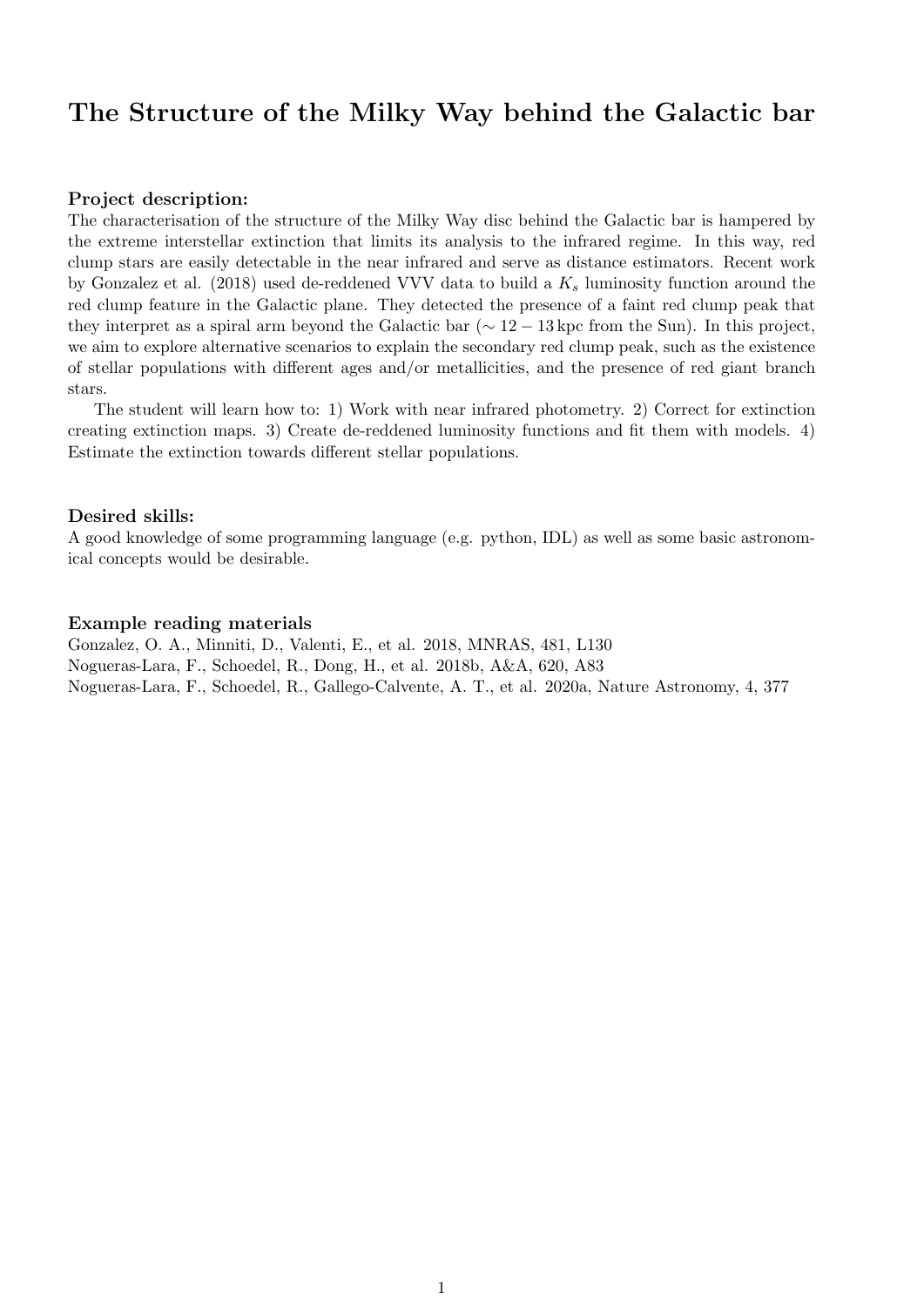## The Structure of the Milky Way behind the Galactic bar

### Project description:

The characterisation of the structure of the Milky Way disc behind the Galactic bar is hampered by the extreme interstellar extinction that limits its analysis to the infrared regime. In this way, red clump stars are easily detectable in the near infrared and serve as distance estimators. Recent work by Gonzalez et al. (2018) used de-reddened VVV data to build a  $K_s$  luminosity function around the red clump feature in the Galactic plane. They detected the presence of a faint red clump peak that they interpret as a spiral arm beyond the Galactic bar ( $\sim 12 - 13$  kpc from the Sun). In this project, we aim to explore alternative scenarios to explain the secondary red clump peak, such as the existence of stellar populations with different ages and/or metallicities, and the presence of red giant branch stars.

The student will learn how to: 1) Work with near infrared photometry. 2) Correct for extinction creating extinction maps. 3) Create de-reddened luminosity functions and fit them with models. 4) Estimate the extinction towards different stellar populations.

#### Desired skills:

A good knowledge of some programming language (e.g. python, IDL) as well as some basic astronomical concepts would be desirable.

#### Example reading materials

Gonzalez, O. A., Minniti, D., Valenti, E., et al. 2018, MNRAS, 481, L130 Nogueras-Lara, F., Schoedel, R., Dong, H., et al. 2018b, A&A, 620, A83 Nogueras-Lara, F., Schoedel, R., Gallego-Calvente, A. T., et al. 2020a, Nature Astronomy, 4, 377